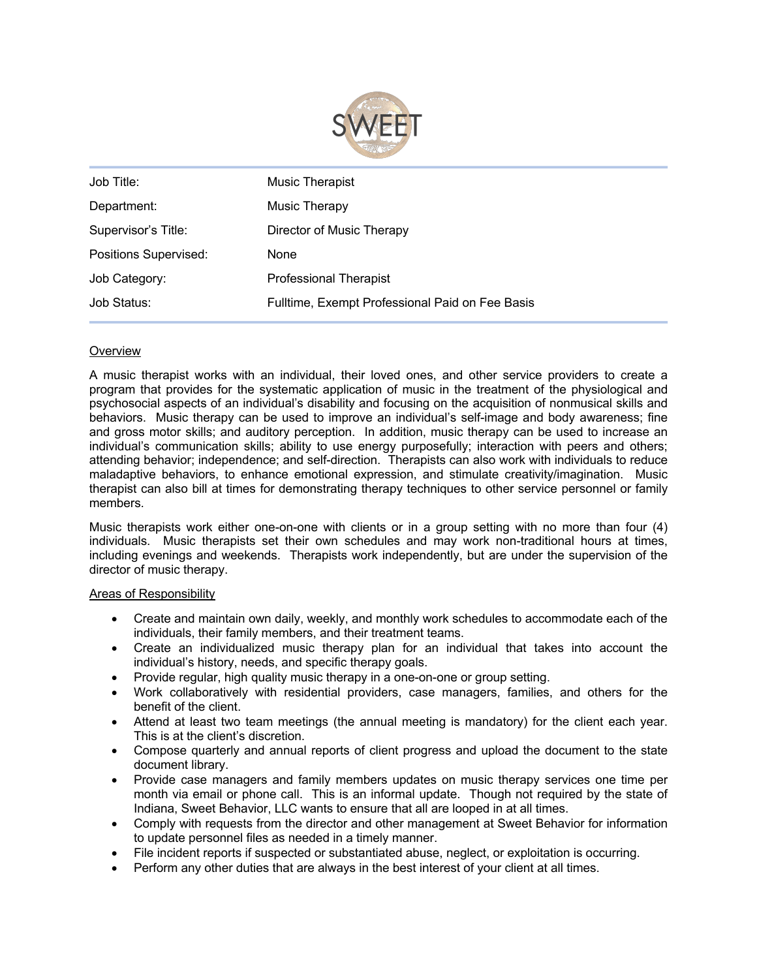

| Job Title:                   | <b>Music Therapist</b>                          |
|------------------------------|-------------------------------------------------|
| Department:                  | Music Therapy                                   |
| Supervisor's Title:          | Director of Music Therapy                       |
| <b>Positions Supervised:</b> | None                                            |
| Job Category:                | <b>Professional Therapist</b>                   |
| Job Status:                  | Fulltime, Exempt Professional Paid on Fee Basis |

# **Overview**

A music therapist works with an individual, their loved ones, and other service providers to create a program that provides for the systematic application of music in the treatment of the physiological and psychosocial aspects of an individual's disability and focusing on the acquisition of nonmusical skills and behaviors. Music therapy can be used to improve an individual's self-image and body awareness; fine and gross motor skills; and auditory perception. In addition, music therapy can be used to increase an individual's communication skills; ability to use energy purposefully; interaction with peers and others; attending behavior; independence; and self-direction. Therapists can also work with individuals to reduce maladaptive behaviors, to enhance emotional expression, and stimulate creativity/imagination. Music therapist can also bill at times for demonstrating therapy techniques to other service personnel or family members.

Music therapists work either one-on-one with clients or in a group setting with no more than four (4) individuals. Music therapists set their own schedules and may work non-traditional hours at times, including evenings and weekends. Therapists work independently, but are under the supervision of the director of music therapy.

## Areas of Responsibility

- Create and maintain own daily, weekly, and monthly work schedules to accommodate each of the individuals, their family members, and their treatment teams.
- Create an individualized music therapy plan for an individual that takes into account the individual's history, needs, and specific therapy goals.
- Provide regular, high quality music therapy in a one-on-one or group setting.
- Work collaboratively with residential providers, case managers, families, and others for the benefit of the client.
- Attend at least two team meetings (the annual meeting is mandatory) for the client each year. This is at the client's discretion.
- Compose quarterly and annual reports of client progress and upload the document to the state document library.
- Provide case managers and family members updates on music therapy services one time per month via email or phone call. This is an informal update. Though not required by the state of Indiana, Sweet Behavior, LLC wants to ensure that all are looped in at all times.
- Comply with requests from the director and other management at Sweet Behavior for information to update personnel files as needed in a timely manner.
- File incident reports if suspected or substantiated abuse, neglect, or exploitation is occurring.
- Perform any other duties that are always in the best interest of your client at all times.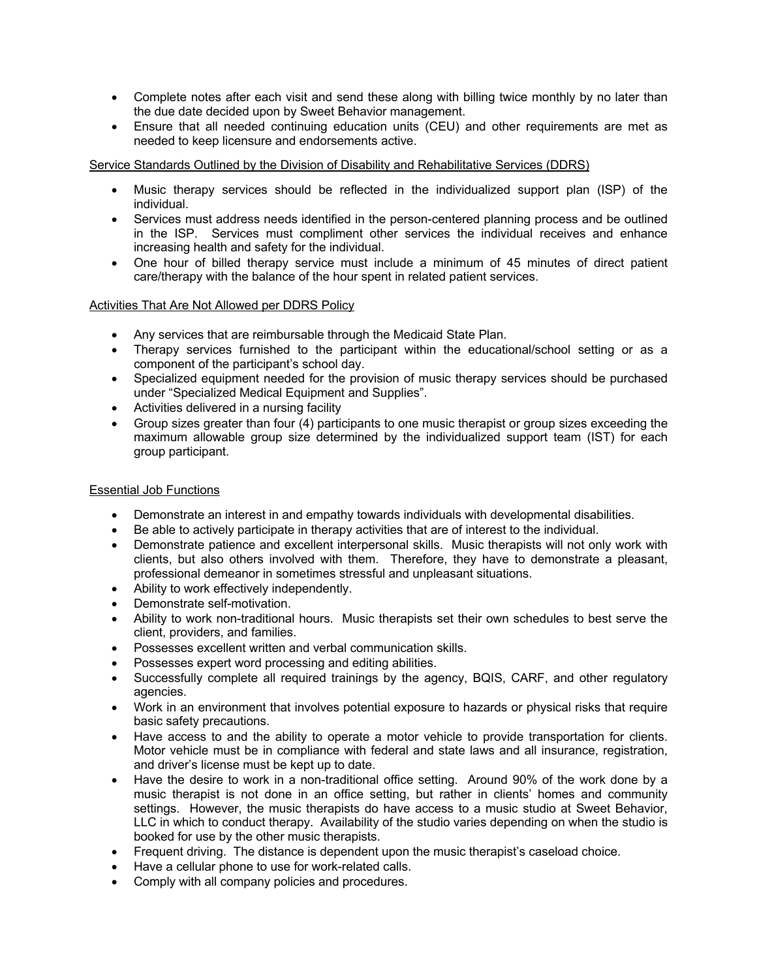- Complete notes after each visit and send these along with billing twice monthly by no later than the due date decided upon by Sweet Behavior management.
- Ensure that all needed continuing education units (CEU) and other requirements are met as needed to keep licensure and endorsements active.

Service Standards Outlined by the Division of Disability and Rehabilitative Services (DDRS)

- Music therapy services should be reflected in the individualized support plan (ISP) of the individual.
- Services must address needs identified in the person-centered planning process and be outlined in the ISP. Services must compliment other services the individual receives and enhance increasing health and safety for the individual.
- One hour of billed therapy service must include a minimum of 45 minutes of direct patient care/therapy with the balance of the hour spent in related patient services.

# Activities That Are Not Allowed per DDRS Policy

- Any services that are reimbursable through the Medicaid State Plan.
- Therapy services furnished to the participant within the educational/school setting or as a component of the participant's school day.
- Specialized equipment needed for the provision of music therapy services should be purchased under "Specialized Medical Equipment and Supplies".
- Activities delivered in a nursing facility
- Group sizes greater than four (4) participants to one music therapist or group sizes exceeding the maximum allowable group size determined by the individualized support team (IST) for each group participant.

## Essential Job Functions

- Demonstrate an interest in and empathy towards individuals with developmental disabilities.
- Be able to actively participate in therapy activities that are of interest to the individual.
- Demonstrate patience and excellent interpersonal skills. Music therapists will not only work with clients, but also others involved with them. Therefore, they have to demonstrate a pleasant, professional demeanor in sometimes stressful and unpleasant situations.
- Ability to work effectively independently.
- Demonstrate self-motivation.
- Ability to work non-traditional hours. Music therapists set their own schedules to best serve the client, providers, and families.
- Possesses excellent written and verbal communication skills.
- Possesses expert word processing and editing abilities.
- Successfully complete all required trainings by the agency, BQIS, CARF, and other regulatory agencies.
- Work in an environment that involves potential exposure to hazards or physical risks that require basic safety precautions.
- Have access to and the ability to operate a motor vehicle to provide transportation for clients. Motor vehicle must be in compliance with federal and state laws and all insurance, registration, and driver's license must be kept up to date.
- Have the desire to work in a non-traditional office setting. Around 90% of the work done by a music therapist is not done in an office setting, but rather in clients' homes and community settings. However, the music therapists do have access to a music studio at Sweet Behavior, LLC in which to conduct therapy. Availability of the studio varies depending on when the studio is booked for use by the other music therapists.
- Frequent driving. The distance is dependent upon the music therapist's caseload choice.
- Have a cellular phone to use for work-related calls.
- Comply with all company policies and procedures.